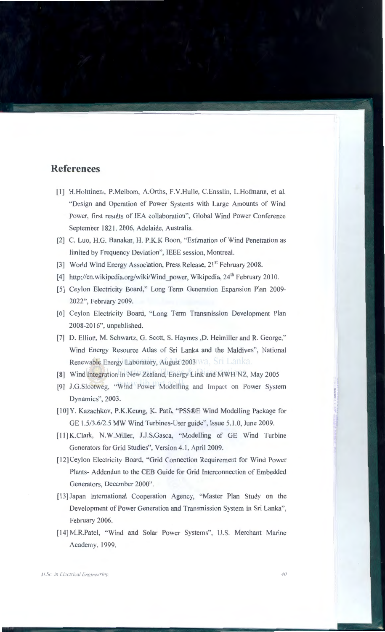## **References**

- [1] H.Holttinen,, P.Meibom, A.Orths, F.V.Hulle, C.Ensslin, L.Hofmann, et al. "Design and Operation of Power Systems with Large Amounts of Wind Power, first results of lEA collaboration", Global Wind Power Conference September 1821, 2006, Adelaide, Australia.
- [2] C. Luo, H.G. Banakar, H. P.K.K Boon, "Estimation of Wind Penetration as limited by Frequency Deviation", IEEE session, Montreal.
- [3] World Wind Energy Association, Press Release, 21<sup>st</sup> February 2008.
- [4] http://en.wikipedia.org/wiki/Wind power, Wikipedia, 24<sup>th</sup> February 2010.
- [5] Ceylon Electricity Board," Long Term Generation Expansion Plan 2009- 2022", February 2009.
- [6] Ceylon Electricity Board, "Long Term Transmission Development Plan 2008-20 16", unpublished.
- [7] D. Elliott, M. Schwartz, G. Scott, S. Haymes ,D. Heimiller and R. George," Wind Energy Resource Atlas of Sri Lanka and the Maldives", National Renewable Energy Laboratory, August 2003 Wa. Sri Lanka.
- [8] Wind Integration in New Zealand, Energy Link and MWH NZ, May 2005
- [9] J.G.Slootweg, "Wind Power Modelling and Impact on Power System Dynamics", 2003.
- [1 0] Y. Kazachkov, P.K.Keung, K. Patil, "PSS®E Wind Modelling Package for GE 1.5/3.6/2.5 MW Wind Turbines-User guide", Issue 5.1.0, June 2009.
- [11] K.Clark, N.W.Miller, J.J.S.Gasca, "Modelling of GE Wind Turbine Generators for Grid Studies", Version 4.1, April 2009.
- [12] Ceylon Electricity Board, "Grid Connection Requirement for Wind Power Plants- Addendun to the CEB Guide for Grid Interconnection of Embedded Generators, December 2000".
- [13] Japan International Cooperation Agency, "Master Plan Study on the Development of Power Generation and Transmission System in Sri Lanka", February 2006.
- [14] M.R.Patel, "Wind and Solar Power Systems", U.S. Merchant Marine Academy, 1999.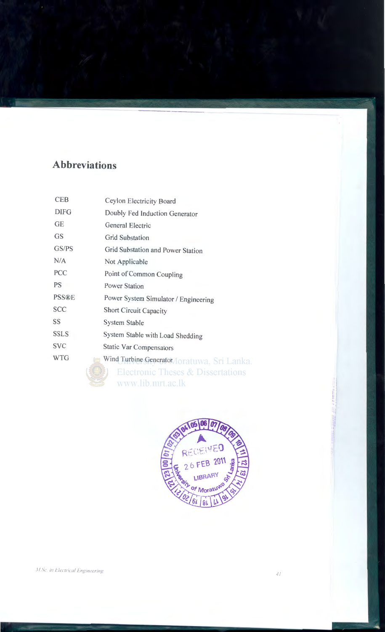# **Abbreviations**

| <b>CEB</b>   | Ceylon Electricity Board                     |
|--------------|----------------------------------------------|
| <b>DIFG</b>  | Doubly Fed Induction Generator               |
| <b>GE</b>    | General Electric                             |
| <b>GS</b>    | <b>Grid Substation</b>                       |
| GS/PS        | Grid Substation and Power Station            |
| N/A          | Not Applicable                               |
| PCC          | Point of Common Coupling                     |
| <b>PS</b>    | <b>Power Station</b>                         |
| <b>PSS®E</b> | Power System Simulator / Engineering         |
| <b>SCC</b>   | <b>Short Circuit Capacity</b>                |
| SS           | <b>System Stable</b>                         |
| <b>SSLS</b>  | System Stable with Load Shedding             |
| <b>SVC</b>   | <b>Static Var Compensators</b>               |
| <b>WTG</b>   | Wind Turbine Generator/Ioratuwa, Sri Lanka   |
|              | <b>Electronic Theses &amp; Dissertations</b> |
|              | www.lib.mrt.ac.lk                            |

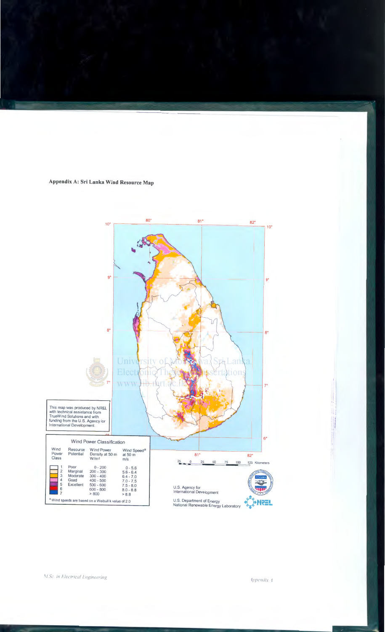#### Appendix A: Sri Lanka Wind Resource Map



4ppendix 4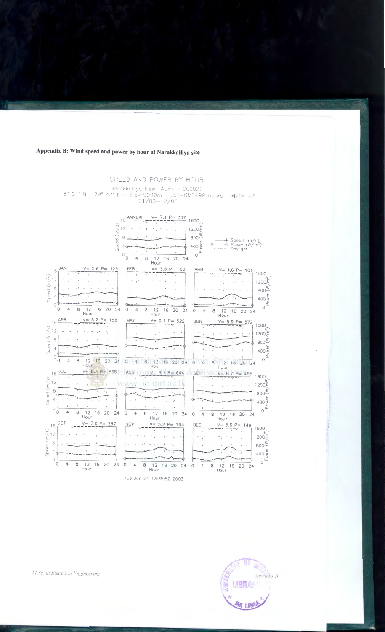### Appendix B: Wind speed and power by hour at Narakkalliya site

#### SPEED AND POWER BY HOUR

Narakkalliya New 40m - 000022 79° 43' E Flev 9999m LST=GMT-99 hours<br>01/00-12/01 8° 01' N  $N = +5$ 



Tue Jun 24 13:35:52 2003



M.Sc. in Electrical Engineering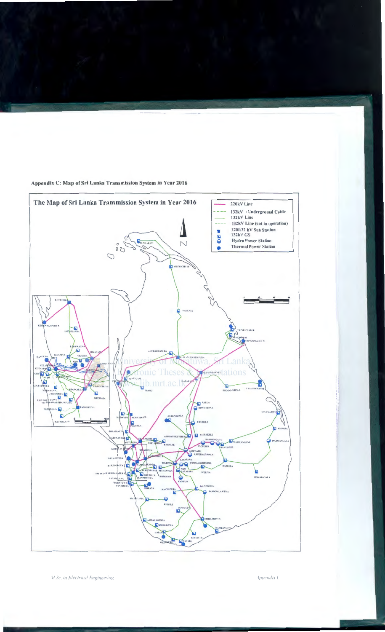

Appendix C: Map of Sri Lanka Transmission System in Year 2016

M.Sc. in Electrical Engineering

Appendix C